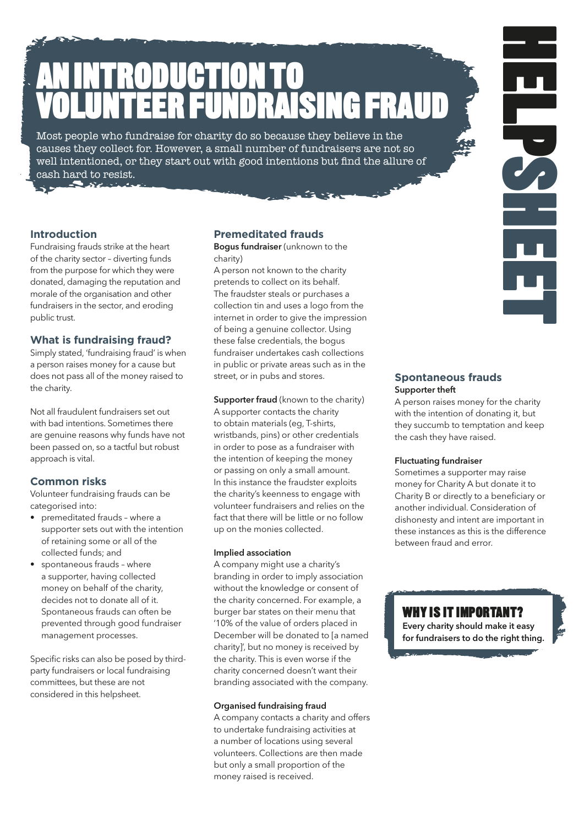# AN INTRODUCTION TO VOLUNTEER FUNDRAISING FRAUD.

Most people who fundraise for charity do so because they believe in the causes they collect for. However, a small number of fundraisers are not so well intentioned, or they start out with good intentions but find the allure of cash hard to resist.

### **Introduction.**

Fundraising frauds strike at the heart of the charity sector – diverting funds from the purpose for which they were donated, damaging the reputation and morale of the organisation and other fundraisers in the sector, and eroding public trust.

### **What is fundraising fraud?**

Simply stated, 'fundraising fraud' is when a person raises money for a cause but does not pass all of the money raised to the charity.

Not all fraudulent fundraisers set out with bad intentions. Sometimes there are genuine reasons why funds have not been passed on, so a tactful but robust approach is vital.

### **Common risks.**

Volunteer fundraising frauds can be categorised into:

- premeditated frauds where a supporter sets out with the intention of retaining some or all of the collected funds; and
- spontaneous frauds where a supporter, having collected money on behalf of the charity, decides not to donate all of it. Spontaneous frauds can often be prevented through good fundraiser management processes.

Specific risks can also be posed by thirdparty fundraisers or local fundraising committees, but these are not considered in this helpsheet.

### **Premeditated frauds**

Bogus fundraiser (unknown to the charity)

A person not known to the charity pretends to collect on its behalf. The fraudster steals or purchases a collection tin and uses a logo from the internet in order to give the impression of being a genuine collector. Using these false credentials, the bogus fundraiser undertakes cash collections in public or private areas such as in the street, or in pubs and stores.

Supporter fraud (known to the charity) A supporter contacts the charity to obtain materials (eg, T-shirts, wristbands, pins) or other credentials in order to pose as a fundraiser with the intention of keeping the money or passing on only a small amount. In this instance the fraudster exploits the charity's keenness to engage with volunteer fundraisers and relies on the fact that there will be little or no follow up on the monies collected.

### Implied association

A company might use a charity's branding in order to imply association without the knowledge or consent of the charity concerned. For example, a burger bar states on their menu that '10% of the value of orders placed in December will be donated to [a named charity]', but no money is received by the charity. This is even worse if the charity concerned doesn't want their branding associated with the company.

### Organised fundraising fraud

A company contacts a charity and offers to undertake fundraising activities at a number of locations using several volunteers. Collections are then made but only a small proportion of the money raised is received.

### **Spontaneous frauds** Supporter theft

A person raises money for the charity with the intention of donating it, but they succumb to temptation and keep the cash they have raised.

HELPSHEET.<br>HELPSHEET

### Fluctuating fundraiser

Sometimes a supporter may raise money for Charity A but donate it to Charity B or directly to a beneficiary or another individual. Consideration of dishonesty and intent are important in these instances as this is the difference between fraud and error.

### WHY IS IT IMPORTANT?

Every charity should make it easy for fundraisers to do the right thing.